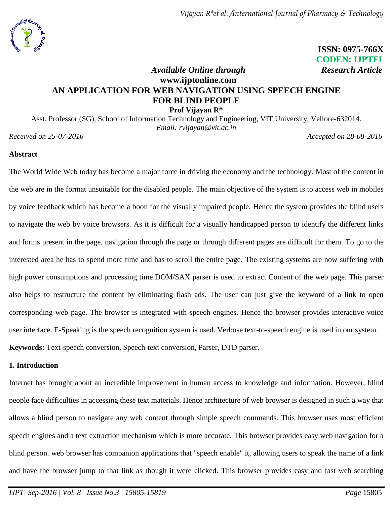

 **ISSN: 0975-766X CODEN: IJPTFI**

# *Available Online through* Research Article **www.ijptonline.com AN APPLICATION FOR WEB NAVIGATION USING SPEECH ENGINE FOR BLIND PEOPLE Prof Vijayan R\***

Asst. Professor (SG), School of Information Technology and Engineering, VIT University, Vellore-632014. *Email: rvijayan@vit.ac.in*

*Received on 25-07-2016* Accepted on 28-08-2016

### **Abstract**

The World Wide Web today has become a major force in driving the economy and the technology. Most of the content in the web are in the format unsuitable for the disabled people. The main objective of the system is to access web in mobiles by voice feedback which has become a boon for the visually impaired people. Hence the system provides the blind users to navigate the web by voice browsers. As it is difficult for a visually handicapped person to identify the different links and forms present in the page, navigation through the page or through different pages are difficult for them. To go to the interested area he has to spend more time and has to scroll the entire page. The existing systems are now suffering with high power consumptions and processing time.DOM/SAX parser is used to extract Content of the web page. This parser also helps to restructure the content by eliminating flash ads. The user can just give the keyword of a link to open corresponding web page. The browser is integrated with speech engines. Hence the browser provides interactive voice user interface. E-Speaking is the speech recognition system is used. Verbose text-to-speech engine is used in our system. **Keywords:** Text-speech conversion, Speech-text conversion, Parser, DTD parser.

### **1. Introduction**

Internet has brought about an incredible improvement in human access to knowledge and information. However, blind people face difficulties in accessing these text materials. Hence architecture of web browser is designed in such a way that allows a blind person to navigate any web content through simple speech commands. This browser uses most efficient speech engines and a text extraction mechanism which is more accurate. This browser provides easy web navigation for a blind person. web browser has companion applications that "speech enable" it, allowing users to speak the name of a link and have the browser jump to that link as though it were clicked. This browser provides easy and fast web searching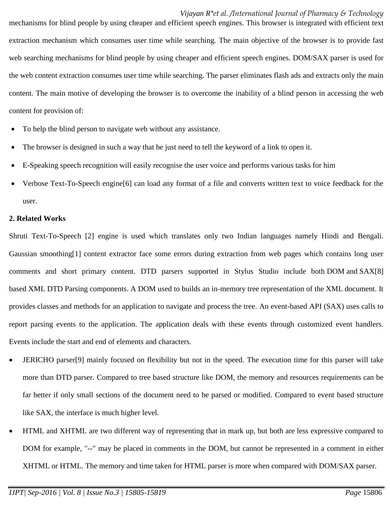mechanisms for blind people by using cheaper and efficient speech engines. This browser is integrated with efficient text extraction mechanism which consumes user time while searching. The main objective of the browser is to provide fast web searching mechanisms for blind people by using cheaper and efficient speech engines. DOM/SAX parser is used for the web content extraction consumes user time while searching. The parser eliminates flash ads and extracts only the main content. The main motive of developing the browser is to overcome the inability of a blind person in accessing the web content for provision of:

- To help the blind person to navigate web without any assistance.
- The browser is designed in such a way that he just need to tell the keyword of a link to open it.
- E-Speaking speech recognition will easily recognise the user voice and performs various tasks for him
- Verbose Text-To-Speech engine[6] can load any format of a file and converts written text to voice feedback for the user.

#### **2. Related Works**

Shruti Text-To-Speech [2] engine is used which translates only two Indian languages namely Hindi and Bengali. Gaussian smoothing[1] content extractor face some errors during extraction from web pages which contains long user comments and short primary content. DTD parsers supported in Stylus Studio include both DOM and SAX[8] based XML DTD Parsing components. A DOM used to builds an in-memory tree representation of the XML document. It provides classes and methods for an application to navigate and process the tree. An event-based API (SAX) uses calls to report parsing events to the application. The application deals with these events through customized event handlers. Events include the start and end of elements and characters.

- JERICHO parser[9] mainly focused on flexibility but not in the speed. The execution time for this parser will take more than DTD parser. Compared to tree based structure like DOM, the memory and resources requirements can be far better if only small sections of the document need to be parsed or modified. Compared to event based structure like SAX, the interface is much higher level.
- HTML and XHTML are two different way of representing that in mark up, but both are less expressive compared to DOM for example, "--" may be placed in comments in the DOM, but cannot be represented in a comment in either XHTML or HTML. The memory and time taken for HTML parser is more when compared with DOM/SAX parser.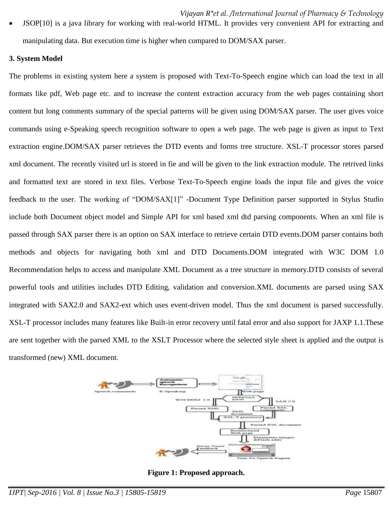JSOP[10] is a java library for working with real-world HTML. It provides very convenient API for extracting and manipulating data. But execution time is higher when compared to DOM/SAX parser.

#### **3. System Model**

The problems in existing system here a system is proposed with Text-To-Speech engine which can load the text in all formats like pdf, Web page etc. and to increase the content extraction accuracy from the web pages containing short content but long comments summary of the special patterns will be given using DOM/SAX parser. The user gives voice commands using e-Speaking speech recognition software to open a web page. The web page is given as input to Text extraction engine.DOM/SAX parser retrieves the DTD events and forms tree structure. XSL-T processor stores parsed xml document. The recently visited url is stored in fie and will be given to the link extraction module. The retrived links and formatted text are stored in text files. Verbose Text-To-Speech engine loads the input file and gives the voice feedback to the user. The working of "DOM/SAX[1]" -Document Type Definition parser supported in Stylus Studio include both Document object model and Simple API for xml based xml dtd parsing components. When an xml file is passed through SAX parser there is an option on SAX interface to retrieve certain DTD events.DOM parser contains both methods and objects for navigating both xml and DTD Documents.DOM integrated with W3C DOM 1.0 Recommendation helps to access and manipulate XML Document as a tree structure in memory.DTD consists of several powerful tools and utilities includes DTD Editing, validation and conversion.XML documents are parsed using SAX integrated with SAX2.0 and SAX2-ext which uses event-driven model. Thus the xml document is parsed successfully. XSL-T processor includes many features like Built-in error recovery until fatal error and also support for JAXP 1.1.These are sent together with the parsed XML to the XSLT Processor where the selected style sheet is applied and the output is transformed (new) XML document.



**Figure 1: Proposed approach.**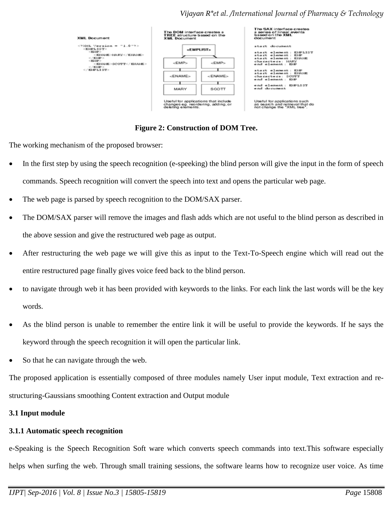

### **Figure 2: Construction of DOM Tree.**

The working mechanism of the proposed browser:

- In the first step by using the speech recognition (e-speeking) the blind person will give the input in the form of speech commands. Speech recognition will convert the speech into text and opens the particular web page.
- The web page is parsed by speech recognition to the DOM/SAX parser.
- The DOM/SAX parser will remove the images and flash adds which are not useful to the blind person as described in the above session and give the restructured web page as output.
- After restructuring the web page we will give this as input to the Text-To-Speech engine which will read out the entire restructured page finally gives voice feed back to the blind person.
- to navigate through web it has been provided with keywords to the links. For each link the last words will be the key words.
- As the blind person is unable to remember the entire link it will be useful to provide the keywords. If he says the keyword through the speech recognition it will open the particular link.
- So that he can navigate through the web.

The proposed application is essentially composed of three modules namely User input module, Text extraction and restructuring-Gaussians smoothing Content extraction and Output module

### **3.1 Input module**

# **3.1.1 Automatic speech recognition**

e-Speaking is the Speech Recognition Soft ware which converts speech commands into text.This software especially helps when surfing the web. Through small training sessions, the software learns how to recognize user voice. As time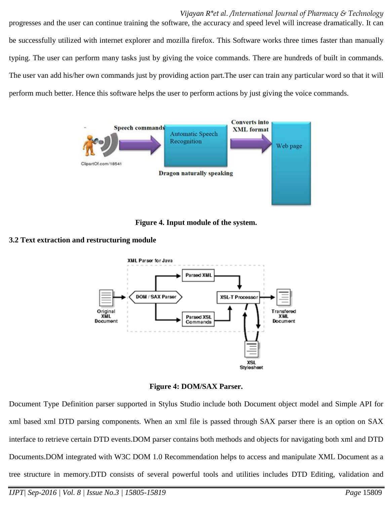progresses and the user can continue training the software, the accuracy and speed level will increase dramatically. It can be successfully utilized with internet explorer and mozilla firefox. This Software works three times faster than manually typing. The user can perform many tasks just by giving the voice commands. There are hundreds of built in commands. The user van add his/her own commands just by providing action part.The user can train any particular word so that it will perform much better. Hence this software helps the user to perform actions by just giving the voice commands.





### **3.2 Text extraction and restructuring module**



**Figure 4: DOM/SAX Parser.**

Document Type Definition parser supported in Stylus Studio include both Document object model and Simple API for xml based xml DTD parsing components. When an xml file is passed through SAX parser there is an option on SAX interface to retrieve certain DTD events.DOM parser contains both methods and objects for navigating both xml and DTD Documents.DOM integrated with W3C DOM 1.0 Recommendation helps to access and manipulate XML Document as a tree structure in memory.DTD consists of several powerful tools and utilities includes DTD Editing, validation and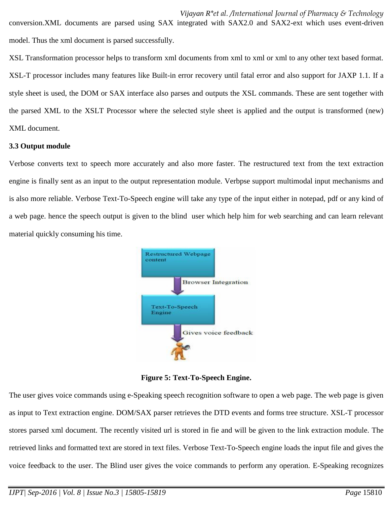conversion.XML documents are parsed using SAX integrated with SAX2.0 and SAX2-ext which uses event-driven model. Thus the xml document is parsed successfully.

XSL Transformation processor helps to transform xml documents from xml to xml or xml to any other text based format. XSL-T processor includes many features like Built-in error recovery until fatal error and also support for JAXP 1.1. If a style sheet is used, the DOM or SAX interface also parses and outputs the XSL commands. These are sent together with the parsed XML to the XSLT Processor where the selected style sheet is applied and the output is transformed (new) XML document.

#### **3.3 Output module**

Verbose converts text to speech more accurately and also more faster. The restructured text from the text extraction engine is finally sent as an input to the output representation module. Verbpse support multimodal input mechanisms and is also more reliable. Verbose Text-To-Speech engine will take any type of the input either in notepad, pdf or any kind of a web page. hence the speech output is given to the blind user which help him for web searching and can learn relevant material quickly consuming his time.



**Figure 5: Text-To-Speech Engine.**

The user gives voice commands using e-Speaking speech recognition software to open a web page. The web page is given as input to Text extraction engine. DOM/SAX parser retrieves the DTD events and forms tree structure. XSL-T processor stores parsed xml document. The recently visited url is stored in fie and will be given to the link extraction module. The retrieved links and formatted text are stored in text files. Verbose Text-To-Speech engine loads the input file and gives the voice feedback to the user. The Blind user gives the voice commands to perform any operation. E-Speaking recognizes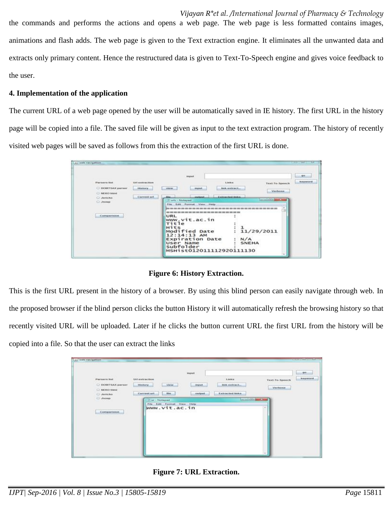*Vijayan R\*et al. /International Journal of Pharmacy & Technology*  the commands and performs the actions and opens a web page. The web page is less formatted contains images, animations and flash adds. The web page is given to the Text extraction engine. It eliminates all the unwanted data and extracts only primary content. Hence the restructured data is given to Text-To-Speech engine and gives voice feedback to the user.

## **4. Implementation of the application**

The current URL of a web page opened by the user will be automatically saved in IE history. The first URL in the history page will be copied into a file. The saved file will be given as input to the text extraction program. The history of recently visited web pages will be saved as follows from this the extraction of the first URL is done.

| Lou with newspation.                  |                          |                                                                                          |                       |                                       | <b>CONTRACTOR</b>            |
|---------------------------------------|--------------------------|------------------------------------------------------------------------------------------|-----------------------|---------------------------------------|------------------------------|
|                                       |                          | <b>Impunt</b>                                                                            |                       |                                       | .99                          |
| <b>Forners</b> Bat.                   | <b>Mill orativection</b> |                                                                                          | 5. Antikray           | Text-To-Speech                        | <b><i><u>Amyword</u></i></b> |
| O DOM?SAX parser<br><b>C NEWO NUM</b> | <b>Hintory</b>           | where<br><b>Amgred</b>                                                                   | <b>Book araticaci</b> | <b>Mexboon</b>                        |                              |
| O Jericha                             | Current url              | Amateurat.                                                                               | Extracted links       |                                       |                              |
| O Jeoup                               |                          | 25 toris - Postagend                                                                     |                       | <b>Commercial Charles and Charles</b> |                              |
|                                       |                          | Film Edit Format View Help                                                               |                       |                                       |                              |
|                                       |                          | see min min cro com see min see para com com com min min see com com com min man min cro |                       |                                       |                              |
| Comparison                            |                          | URL                                                                                      |                       |                                       |                              |
|                                       |                          | www.vit.ac.in                                                                            |                       |                                       |                              |
|                                       |                          | Title                                                                                    |                       |                                       |                              |
|                                       |                          | HITS                                                                                     |                       |                                       |                              |
|                                       |                          | Modified Date                                                                            |                       | 11/29/2011                            |                              |
|                                       |                          | $12:14:13$ AM<br><b>Expiration</b> Date                                                  |                       |                                       |                              |
|                                       |                          | User Name                                                                                | N/A<br>SNEHA          |                                       |                              |
|                                       |                          | subfolder                                                                                |                       |                                       |                              |
|                                       |                          | MSHist012011112920111130                                                                 |                       |                                       |                              |

**Figure 6: History Extraction.**

This is the first URL present in the history of a browser. By using this blind person can easily navigate through web. In the proposed browser if the blind person clicks the button History it will automatically refresh the browsing history so that recently visited URL will be uploaded. Later if he clicks the button current URL the first URL from the history will be copied into a file. So that the user can extract the links

| <b>Les web nevigation</b>                                                                          | -<br>Impion                                                                                                                                                                                    |                                                                                                                                               | <b>Contract Contract Contract</b><br>go.                                  |
|----------------------------------------------------------------------------------------------------|------------------------------------------------------------------------------------------------------------------------------------------------------------------------------------------------|-----------------------------------------------------------------------------------------------------------------------------------------------|---------------------------------------------------------------------------|
| Parsers int<br>O DOM?SAX parser<br><b>DREED fitted</b><br>O Jericho<br><b>С Люню</b><br>Companiese | Uri extraction.<br>TOP GALPASS MICHAEL<br><b><i><u><i><u>blankory</u></i></u></i></b><br>view<br><b>Fides</b><br>Current urt<br>ur - Notepad<br>Edit Format View Help<br>File<br>www.vit.ac.in | Links<br><b>BMK</b> extract<br><i>mput</i> .<br>The control of the control of<br>Extracted Inks<br><b>JOANSONAK</b><br><b>DESCRIPTION AND</b> | keyword<br>Text-To-Speech<br><b>TAXABLE PROPERTY</b><br>Verbose<br>$\sim$ |

**Figure 7: URL Extraction.**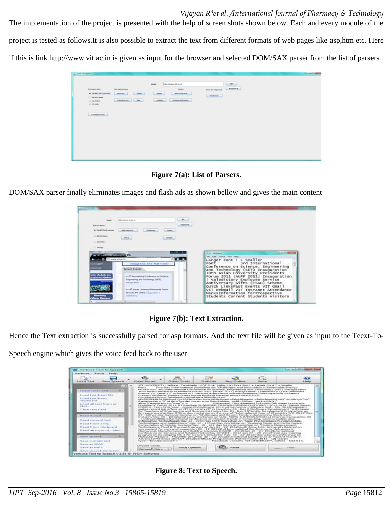The implementation of the project is presented with the help of screen shots shown below. Each and every module of the project is tested as follows.It is also possible to extract the text from different formats of web pages like asp,htm etc. Here if this is link http://www.vit.ac.in is given as input for the browser and selected DOM/SAX parser from the list of parsers

| $-$<br>Inflg: the www.vit.ac.im<br>imput<br>Anyword.<br><b>Parsers list</b><br>Links<br>Unf extraction<br>Text-To-Speech<br>* DOMPSAX parker.<br><b>History</b><br>stew.<br><b>Shipmed</b><br><b>Bok extract</b><br>Verbose.<br>$O$ REKO hand<br>Current art<br>content.<br>Extracted links<br>O Jenicho<br>O Jamp<br>Comparision | LEI with navigation |  | <b>SCALLS AND</b> |
|-----------------------------------------------------------------------------------------------------------------------------------------------------------------------------------------------------------------------------------------------------------------------------------------------------------------------------------|---------------------|--|-------------------|
|                                                                                                                                                                                                                                                                                                                                   |                     |  |                   |

**Figure 7(a): List of Parsers.**

DOM/SAX parser finally eliminates images and flash ads as shown bellow and gives the main content

| <b>Dealers</b>                                                                                                                                                                                                 | Vellas disenyar ed qui de-                              | ÷                 |                                                                         |
|----------------------------------------------------------------------------------------------------------------------------------------------------------------------------------------------------------------|---------------------------------------------------------|-------------------|-------------------------------------------------------------------------|
| List of Jan's                                                                                                                                                                                                  |                                                         | <b>Astronomic</b> |                                                                         |
| * DOMESTAK ANEXAS                                                                                                                                                                                              | Verbrau<br><b>Box assists.</b>                          | . Heat            |                                                                         |
| O MERCI SAME                                                                                                                                                                                                   |                                                         |                   |                                                                         |
| C mobile                                                                                                                                                                                                       | <b>Additional</b>                                       | ment.             |                                                                         |
|                                                                                                                                                                                                                |                                                         |                   |                                                                         |
|                                                                                                                                                                                                                |                                                         |                   |                                                                         |
| C John                                                                                                                                                                                                         |                                                         |                   |                                                                         |
| - Al Children Company Co.                                                                                                                                                                                      |                                                         | $-10-1$           | Tur - Netspat                                                           |
|                                                                                                                                                                                                                | C3 www.virtuac.in                                       |                   | File : RAD : Format - View - Help<br>+ Smaller<br>Larger Font           |
| <b>Hiderman</b>                                                                                                                                                                                                | Thomas CAT / XAT / MAT / GMAT                           |                   | 3rd International<br>Font                                               |
| <b>COMME</b>                                                                                                                                                                                                   | <b>Recent Events</b>                                    |                   | Conference on Science, Engineering                                      |
| and checkends com                                                                                                                                                                                              |                                                         |                   | and Technology (SET) Inauguration<br>10th Asian University Presidents   |
| <b>Unit he Online</b>                                                                                                                                                                                          | in 2 <sup>08</sup> International Conference on Science. |                   | Forum 2011 [AUPF 2011] Inauguration                                     |
| <b><i><u>PERSONAL PROPERTY AND RESIDENCE PROPERTY AND RESIDENCE PROPERTY AND RESIDENCE PROPERTY AND RESIDENCE PROPERTY AND RESIDENCE PROPERTY AND RESIDENCE PROPERTY AND RESIDENCE PROPERTY AND RE</u></i></b> | Engressing and Tachsuings (SET)<br><b>Endorsement</b>   |                   | valedictory Employee Service<br>Anniversary Gifts (ESAG) Scheme         |
|                                                                                                                                                                                                                | at 12 <sup>(b</sup> Asian University Presidents Forum)  |                   | Ouick LinksPast Events VIT Gmail<br>VIT webmail VIT Intranet Attendance |

**Figure 7(b): Text Extraction.**

Hence the Text extraction is successfully parsed for asp formats. And the text file will be given as input to the Teext-To-Speech engine which gives the voice feed back to the user

| ٥                                                                                                                                                                                                                                                                                                                                                                                                                                                                  |                                                                                                                                                      | <b>JAPANELL</b>                                                                                                                                                                                                                                                                                                                                                                                                                                                                                                                                                                                                                                                                                                                                                                                                                                                                                                                                                                                                                                                                                                                                                                                                                                                                                                                                                                                                                                                                                                                                                                                                                                                                                                                                                                                                                                                                                                                                                                                                                                                                                                                                                                                                                                                                                                                                                                                                                                                                                                                                                                                                                                                                                                                                                                                                                                                                                                                                                                                                                | SS 22   |                                                                         | $1 - 1$           | e a              |
|--------------------------------------------------------------------------------------------------------------------------------------------------------------------------------------------------------------------------------------------------------------------------------------------------------------------------------------------------------------------------------------------------------------------------------------------------------------------|------------------------------------------------------------------------------------------------------------------------------------------------------|--------------------------------------------------------------------------------------------------------------------------------------------------------------------------------------------------------------------------------------------------------------------------------------------------------------------------------------------------------------------------------------------------------------------------------------------------------------------------------------------------------------------------------------------------------------------------------------------------------------------------------------------------------------------------------------------------------------------------------------------------------------------------------------------------------------------------------------------------------------------------------------------------------------------------------------------------------------------------------------------------------------------------------------------------------------------------------------------------------------------------------------------------------------------------------------------------------------------------------------------------------------------------------------------------------------------------------------------------------------------------------------------------------------------------------------------------------------------------------------------------------------------------------------------------------------------------------------------------------------------------------------------------------------------------------------------------------------------------------------------------------------------------------------------------------------------------------------------------------------------------------------------------------------------------------------------------------------------------------------------------------------------------------------------------------------------------------------------------------------------------------------------------------------------------------------------------------------------------------------------------------------------------------------------------------------------------------------------------------------------------------------------------------------------------------------------------------------------------------------------------------------------------------------------------------------------------------------------------------------------------------------------------------------------------------------------------------------------------------------------------------------------------------------------------------------------------------------------------------------------------------------------------------------------------------------------------------------------------------------------------------------------------------|---------|-------------------------------------------------------------------------|-------------------|------------------|
| Longel Teach<br>Save Speech                                                                                                                                                                                                                                                                                                                                                                                                                                        | <b>Repair Advised:</b>                                                                                                                               | Citizer Terests                                                                                                                                                                                                                                                                                                                                                                                                                                                                                                                                                                                                                                                                                                                                                                                                                                                                                                                                                                                                                                                                                                                                                                                                                                                                                                                                                                                                                                                                                                                                                                                                                                                                                                                                                                                                                                                                                                                                                                                                                                                                                                                                                                                                                                                                                                                                                                                                                                                                                                                                                                                                                                                                                                                                                                                                                                                                                                                                                                                                                | Options | <b>Buy Orders</b>                                                       | <b>Tinuther</b>   | <b>A-Am Fare</b> |
| Langel/Class Tank<br>E-stokil hand Female Film<br>Levant teart fraure.<br>as Brandfields applied.<br>Lound all two frozes up -<br><b>P-Basic</b><br>Closer tent funkel<br><b>Bluemed Activisati</b><br>Rainell Corrented Land.<br>Planskill Process at Filler.<br>Read from chipboard<br>Hand all from of - Not -<br>Save School of<br>Ballyar strategiest belief.<br><b>Ballyman and MARAN</b><br>Survive are Autority<br><b>Sakuse Arrested by Francis Film.</b> | <b>Whatparts In</b><br>the red "data of " to window and the process of the control of<br>Circulation, Violence<br><b>Infaste manufit, Infanctor.</b> | VIT UNIVERSITY, Velicre, Taméraelu - 632 014, India, ch - Text Suez + Langer Pont I + Smaler<br>Two Day International Workforce on "Challenges and trespose and the cateria in Rentewable Energy<br>Production" Sol International Conference on Sovietics and International Technology (SET) Integration<br>10th Assen University Presidents Porum 2011 [AUPP 2011] Inauguration 1 Valedictory Quick Universal.<br>Events VIT Groat VIT Webmat VIT Intranet Atlantance Marksbritgmaters forthospective Students<br>Current Students Vallers Guest House Booking Parents Alumn HHRJ.A.CC<br>Conceptions on Accounts - Facentinoods - cours Arthugasta Athanhouse - ad set 2<br>ad as 200.3 to 4:40 7 × 2010 Account the as 20 2 Account our America in Orlea for assessing Release the researcher on Fashion Advanced Internal Account of 2" accordings on "man"<br>financial service check or "O", why later the check of any manner of a country development and the 200 Spaces thanks that spaces in<br>Presidents' Porum 2011 LITT Roorkee SHAMSHIR PRAGASH RESEARCHAV/ARD - 2011 to Dr. Pough Samus,<br>COMM B. Tech Final Year - Group Photofoviera 2012 will be hald on Pebruary 2nd - 5th 2012/opinish-f<br>makes record job offers at VIT UniversityVIT in Newsfalv 05 - Dec 045sffloore Development Tedhniques<br>For Teachers of Courses/netwy and Science, Docticulars Nov. 21 - Dec 03Paculty Development Programma on<br>Grideworkerspools (Sec. 0.20nm day workshops on the eve of "International Year of Chemistry 17C-2011" Dec.<br>Q7 - OffTyon day National Seminar on "Challenges and Becent Tends in Automotive Electronics<br>Inclusivy Tee: 09 - 10Network Level Workshep on VLSI, MEMS & INTEGRATION at Cherose Cangualher 09<br>- L1/HsCom/REE International conference on Recent Tranch in Computero, Communication and<br>Enformation Technologies Dec 12 - 2210 Day 1576 Workshop on "Solar Photovoltacci Punctamentals,<br>Ted/knologies and Applications" Dec 12 - 13Tvro Day Workshop on "Queuang Model and Performance<br>Computation of Callular Systems Dec. 15 - 162 day Netboral yorkship on Thodern Measurement<br>Techniques in Pluid & Thermal Engineering" Jan 05 - 09' 2012/South Zone Inter University Badminism<br>have represented for money aged commentary (89 - 3.1' 20.12.2nd betweenwhilesed Coreformation and Advancing in<br>Mechanical, Manufacturing and Building Sciences (SCAMB - 2012) Jan 19 - 21' 2012/International<br>Conference on Service and Belated Networks, Stream - 2012 Jan 27 - 20 1200 Phres day training<br>person am out Eterophopeng NR-JP for Network Sensagement Pats 19 - 22 20 (2) releases a toucher end on our<br>Molecular Medicine - MOLMED 20-12Feb 20 - 22 20 L'International Conference on Recent Trends in<br>Advanced Materials (ICRAM-2012)Careficate Programmes (Pal Semester 2011 - 12) coorsyst<br>type - "lext/levescript" > --------------------- Peedback   Credits VIT LEIVIRSITY, Vebore - 632 014.<br>Advisional ACAD Recorrent |         | Placements - Pag channoce i photography (Assam Linuxeerature<br>distant | <b>STATISTICS</b> | <b>SLRenew</b>   |

**Figure 8: Text to Speech.**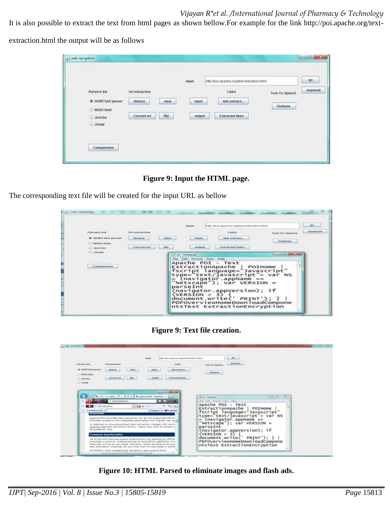It is also possible to extract the text from html pages as shown bellow.For example for the link http://poi.apache.org/text-

extraction.html the output will be as follows

|                          | <b>CONTRACTOR</b>   | input  | http://poi.apache.org/text-extraction.html<br><b>Checker</b> |                |
|--------------------------|---------------------|--------|--------------------------------------------------------------|----------------|
| Parsers list<br>en and a | Url extraction      |        | Links                                                        | Text-To-Speech |
| DOM?SAX parser           | History<br>view     | input  | link extract                                                 | Verbose        |
| O NEKO html              |                     |        |                                                              |                |
| O Jericho                | file<br>Current url | output | <b>Extracted links</b>                                       |                |
| G Jsoup                  |                     |        |                                                              |                |

**Figure 9: Input the HTML page.**

The corresponding text file will be created for the input URL as bellow

|                                                                                           |                                                                  |                           | <b><i><u>IMIGENATE</u></i></b>                                                           | Inflau/Igros.apacha.org/bist-adraction.html                                                                                                                                                                                      |                                  | 99                   |
|-------------------------------------------------------------------------------------------|------------------------------------------------------------------|---------------------------|------------------------------------------------------------------------------------------|----------------------------------------------------------------------------------------------------------------------------------------------------------------------------------------------------------------------------------|----------------------------------|----------------------|
| <b>Parnary list</b><br><b>* DOM/FSAX parser</b><br><b>BERCO BOOK</b><br><b>Ci Jericho</b> | Url extraction<br><b>Biblion Below for</b><br><b>Current url</b> | ArbeitsArt<br><b>Site</b> | <b>HAGNUT</b><br>courtgreat                                                              | <b>Limites</b><br>limit eratract_<br><b>Extracted links</b>                                                                                                                                                                      | <b>Text-To-Speech</b><br>Verboon | <b>Josephenet of</b> |
| Comparision                                                                               |                                                                  | ut - Notepad              | Edit Format View -<br>Apache POI - Text<br>parseInt<br>(VERSION > 3)<br>document.write(' | <b>Interior</b><br>rxtractionApache   РОІНоме  <br>fscript language="Javascript"<br>type="text/javascript"> var NS<br>(navigator.appVersion); if<br>PRINT'); }<br>PDFOverviewHomeDownloadCompone<br>ntsText ExtractionEncryption | <b>Contracted Millenger Co.</b>  |                      |

**Figure 9: Text file creation.**

|                                                           | monit                           | International Advisory or produced week actions forms | <b>SHI</b>                                                                                                                                                        |
|-----------------------------------------------------------|---------------------------------|-------------------------------------------------------|-------------------------------------------------------------------------------------------------------------------------------------------------------------------|
| 242441441<br><b>Parkers list</b><br><b>LEST AVENUADES</b> |                                 | 3. Inches                                             | <b>Burghammed</b><br><b>Text To Speech</b>                                                                                                                        |
| <b>B</b> DURTTSAN parser<br><b>Miskury</b><br>C MOD Her   | search .<br><b>manut</b>        | <b>BM ANTIACL</b>                                     | <b><i><u>PATRONS</u></i></b><br>Mediane<br><b><i>CONTRACT</i></b>                                                                                                 |
| Carrent and<br>C Jarcha<br>C James                        | mekanet                         | Extracted State                                       |                                                                                                                                                                   |
| <b>A. P. + Sect extractions</b>                           | C) heat extraction.<br>ALC SETT | $\mathbf{a}$ a<br><b>ALLIA</b>                        | Fried - Auto - Panella - Viaco - Frieda<br>Apache POI - Text<br>ExtractionApache   POIHome  <br> fscript language="Javascript"<br> type="text/javascript"> var NS |

**Figure 10: HTML Parsed to eliminate images and flash ads.**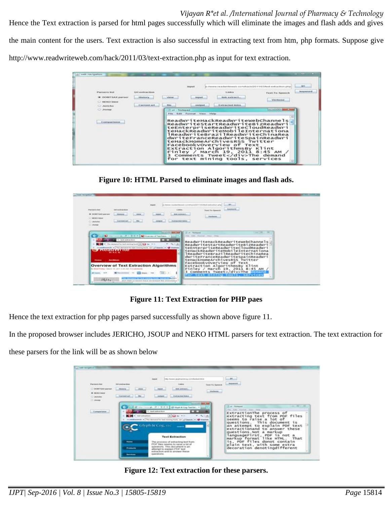Hence the Text extraction is parsed for html pages successfully which will eliminate the images and flash adds and gives the main content for the users. Text extraction is also successful in extracting text from htm, php formats. Suppose give http://www.readwriteweb.com/hack/2011/03/text-extraction.php as input for text extraction.

|                                                    |                                   |                  | <b>Funesant</b>  |                                                                        | what model to 170 3 heat-testinal top, price | 99                                |
|----------------------------------------------------|-----------------------------------|------------------|------------------|------------------------------------------------------------------------|----------------------------------------------|-----------------------------------|
| <b><i><u>Flamesh Hell</u></i></b>                  | <b><i>LEFT markrand House</i></b> |                  |                  | 1.000mm                                                                | <b>Turns For Sewere in</b>                   | <b><i><u>Instrumental</u></i></b> |
| <b>B: DOMPSAX parser</b><br><b>BRENCO Internal</b> | <b>Alterdance</b>                 | <b>Milkelman</b> | <b>COLEDARY</b>  | links make acts.                                                       | <b>Martheres</b>                             |                                   |
| Ci Apietechus                                      | <b>Current</b> un                 | Files.           | <b>GALESONAR</b> | Extractment modes                                                      |                                              |                                   |
| C Jacop                                            |                                   | Luk - Pootagiaci |                  |                                                                        | or actual this second the                    |                                   |
| Connexertence                                      |                                   |                  |                  | ReadwriteHackReadwritewebChannels<br>ReadwriteStartReadwriteBizReadwri |                                              |                                   |

**Figure 10: HTML Parsed to eliminate images and flash ads.**

|                                                                                                          |                                                                                                                                                                                                                                                                                                                                                                                                                       |                                                                                                                                                  |                                                         | This makes complete that the file the state state of a real                                                                                                                                                                                                                                                                                                                           | <b>SERVICE</b>         |  |
|----------------------------------------------------------------------------------------------------------|-----------------------------------------------------------------------------------------------------------------------------------------------------------------------------------------------------------------------------------------------------------------------------------------------------------------------------------------------------------------------------------------------------------------------|--------------------------------------------------------------------------------------------------------------------------------------------------|---------------------------------------------------------|---------------------------------------------------------------------------------------------------------------------------------------------------------------------------------------------------------------------------------------------------------------------------------------------------------------------------------------------------------------------------------------|------------------------|--|
| <b>Factoria ket</b><br><b>B</b> GORETSAX por use<br><b>GAS ADD: MARCH</b><br>CLANSING<br><b>CLASSING</b> | <b>List and Andrew</b><br>Attended.<br><b>STATES</b><br>. Corrente and                                                                                                                                                                                                                                                                                                                                                | <b>ANGELO</b>                                                                                                                                    | 3,008.81<br><b>BOR AVENUEL</b><br>Explorational leaders | Total To Associa<br>Weekender                                                                                                                                                                                                                                                                                                                                                         | Amylenma               |  |
| <b>Home</b><br>Mit Summer, 4124                                                                          | $+ 0 + 10$<br>11. test antiquitien<br>The first means of the basic metrop business. [1] the 19-11<br>ingressives sends on the assessed for best norming book, our prices and on the Watches<br><b>Ludinal Line</b><br>Accèdents<br><b>Overview of Text Extraction Algorithms</b><br>the Miller Presency connection to industry the art and olde the environments<br><b>ETT</b> Internet 1<br><b>B</b> Said processing | <b>Contract of the American Contract</b><br><b>43</b> Greenway of Text Service 11<br><b>A 1981 19</b><br>$\blacksquare$<br><b>SILL</b><br>See P. | The Company<br>Finday f                                 | The Coll Scored Color 1994<br>ReadwriteHackReadwriteWebChannels<br>ReadwriteStartReadwriteBizReadwri<br>teEnterpriseReadwriteCloudReadwri<br>teHackReadwriteMobileInternationa<br>lReadwriteBrazilReadwriteChinaRea<br>dwriteFranceReadwriteSpainReadwri<br>teHackHomeArchivesRSS Twitter<br>Facebookyoverview of Text<br>Extraction AlgorithmsBy Klint<br>Comments TweetThe Boundary | March 19, 2011 8:45 AM |  |

**Figure 11: Text Extraction for PHP paes**

Hence the text extraction for php pages parsed successfully as shown above figure 11.

In the proposed browser includes JERICHO, JSOUP and NEKO HTML parsers for text extraction. The text extraction for

these parsers for the link will be as shown below

|                                                                                  |                                                                                 | http://www.gophanishng.com/luxtush/Ansi                                                                                                                                                              |                                       | .en                                                                                                                                                                                                                                                       |
|----------------------------------------------------------------------------------|---------------------------------------------------------------------------------|------------------------------------------------------------------------------------------------------------------------------------------------------------------------------------------------------|---------------------------------------|-----------------------------------------------------------------------------------------------------------------------------------------------------------------------------------------------------------------------------------------------------------|
| <b>Partners lost</b><br><b>DISCRETIAN MATER</b><br><b>W</b> HERCHANN<br>C Jankee | <b>LAN also brace docume</b><br><b>Jilliania</b><br>stee.<br>the.<br>Carsustant | 3,000.00<br><b>SHEARING</b><br><b>Algood</b><br>Extractor boast<br><b><i><u>Standard</u></i></b>                                                                                                     | Tural Tri-Spinach<br><b>Waylonder</b> | <b>Incremental</b><br><b>TAXABLE</b>                                                                                                                                                                                                                      |
| Commer                                                                           |                                                                                 | gl., (1 + 31 0 × 33) Wayh & Cap Text Ed., 11                                                                                                                                                         | and provided about them               | Visit AV 11, 18<br><b>Bart - Techniques</b>                                                                                                                                                                                                               |
| Contractions                                                                     | and a final automation                                                          | <b><i>book as the actions</i></b><br>$(1 - 1)^{1/2}$<br><b>ALCOHOL:</b><br>voluntaments + The demand for test remains tools, see [alt Search, + 120 stables<br>Glyph & Cog, i.i.c.<br><b>Service</b> |                                       | Web: Hall Channel / Mass / The<br>ExtractionThe process of<br>extracting text from PDF files<br>seems to raise a lot of<br>This document<br>questions.<br>15<br>an attempt to explain PDF text<br>extractionand to answer these<br>questions.Not a markup |
|                                                                                  |                                                                                 | <b>Text Extraction</b><br>The process of extracting text from                                                                                                                                        |                                       | TanguageFirst, PDF is not a<br>markup format like HTML.<br>That<br>is, PDF files donot contain                                                                                                                                                            |
|                                                                                  | <b>Hame</b>                                                                     |                                                                                                                                                                                                      |                                       |                                                                                                                                                                                                                                                           |

**Figure 12: Text extraction for these parsers.**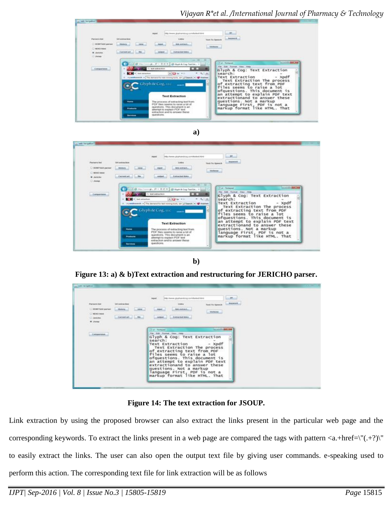







**Figure 13: a) & b)Text extraction and restructuring for JERICHO parser.**

|                                                                                                                                            |                                                           | <b>CLUMP</b>                                                                                                                                                                                                                                                                                                                                                                                                                                                   |
|--------------------------------------------------------------------------------------------------------------------------------------------|-----------------------------------------------------------|----------------------------------------------------------------------------------------------------------------------------------------------------------------------------------------------------------------------------------------------------------------------------------------------------------------------------------------------------------------------------------------------------------------------------------------------------------------|
| <b>CONTRACTOR</b><br><b><i><u>Parkets hat</u></i></b><br><b>C EXIMITSAX parties</b><br>C RENO blod<br>O Avente<br>W. Joseph<br>53. Jan 201 | <b>144 a stirnedium</b><br><b>ABLE</b><br><b>Hinduits</b> | Trittal chemical glipphannaborg, controllandant fronti<br>import.<br><b>Balgierische</b><br>Links:<br><b>Text To Spreak</b><br><b>SINGHAME</b><br><b>MEMT.</b><br>Verbose.<br>Antracted trees.<br>contant.                                                                                                                                                                                                                                                     |
| Companies.                                                                                                                                 |                                                           | <b>And and College Street, Song</b><br>Tot - Notared<br>For: Edit - Formet - View - Help<br>Glyph & Cog: Text Extraction<br>search:<br>Text Extraction<br>$-$ Xpdf<br>Text Extraction The process<br>of extracting text from PDF<br>files seems to raise a lot<br>ofquestions. This document is<br>an attempt to explain PDF text<br>extractionand to answer these<br>questions. Not a markup<br>language First, PDF is not a<br>markup format like HTML. That |

**Figure 14: The text extraction for JSOUP.**

Link extraction by using the proposed browser can also extract the links present in the particular web page and the corresponding keywords. To extract the links present in a web page are compared the tags with pattern  $\langle a.+href=\rangle''(+?)\rangle''$ to easily extract the links. The user can also open the output text file by giving user commands. e-speaking used to perform this action. The corresponding text file for link extraction will be as follows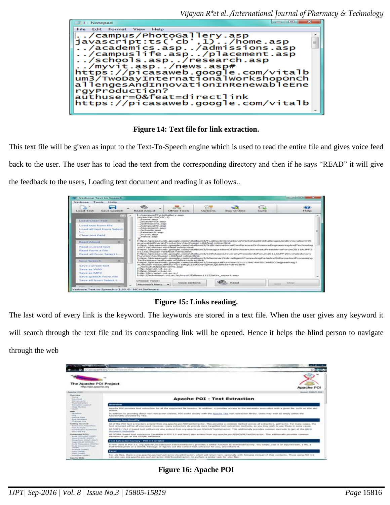

**Figure 14: Text file for link extraction.**

This text file will be given as input to the Text-To-Speech engine which is used to read the entire file and gives voice feed back to the user. The user has to load the text from the corresponding directory and then if he says "READ" it will give the feedback to the users, Loading text document and reading it as follows..

| Marbaser.<br>Texabel:<br><b>Britanlich</b>                                                                                                                                                                                                       | Verbose Text to Speech |                                                                                                                                                                                                                                                                                  |                                                                                                                                                                                                                                                                                                                                                                                                                                                                                                                                                                                                                                                                                                                                                                               |                               |                   |                     | that I would be to see the form                                                                                                                                                                      |
|--------------------------------------------------------------------------------------------------------------------------------------------------------------------------------------------------------------------------------------------------|------------------------|----------------------------------------------------------------------------------------------------------------------------------------------------------------------------------------------------------------------------------------------------------------------------------|-------------------------------------------------------------------------------------------------------------------------------------------------------------------------------------------------------------------------------------------------------------------------------------------------------------------------------------------------------------------------------------------------------------------------------------------------------------------------------------------------------------------------------------------------------------------------------------------------------------------------------------------------------------------------------------------------------------------------------------------------------------------------------|-------------------------------|-------------------|---------------------|------------------------------------------------------------------------------------------------------------------------------------------------------------------------------------------------------|
| <b>CON</b><br>╼<br>Save Speech<br><b>Louist Tauck</b>                                                                                                                                                                                            |                        | <b>Hatact Algresot</b>                                                                                                                                                                                                                                                           | <b>UNIT ROAD</b><br><b>Citizer Texts</b>                                                                                                                                                                                                                                                                                                                                                                                                                                                                                                                                                                                                                                                                                                                                      | <b>STAR</b><br><b>Outlook</b> | <b>Buy Online</b> | C.D<br><b>Suite</b> | <b>Grat</b><br><b>bladge</b>                                                                                                                                                                         |
| Load/Class Test.<br>Louis Vent From Tite.<br>Load all tast from Select<br><b>Links</b><br>Clear test field<br>$\equiv$<br><b>Based Alessad</b><br>Read current test<br>Read from a file<br>Read all from Select L.,<br><b>STE</b><br>Save Speech | m                      | L. /Garrigius /PhotoGallery.asp<br>anywecraptiteCcb', 13<br>Associates  assista-<br>Administration contain<br>/ acteres secres  aug-<br>Academicis and the cames<br>/placement.asp.<br>Packwoods. augh-<br>$$ / $r$ display of $r$ , asset<br>L. Amywik, aug-<br>Arvenous  asses | https://picasawwib.google.com/vitaltium3/TwoOayInternational/VorkshopOnChallengesAndSnnovationInft<br>anywhere advised these gradity cachiac through any the asset on Gila faces to refer and thirds.<br>v5ET Analty seer wOAFest wdwective.<br>https://picasaveb.google.com/vitalbum3/finaugurationOf10thAsianUrsversityPresidentsforum2011AUPP2<br>0.1.3.2westPreasurer mcDificFinant medicine Marsh.<br>https://picasaweb.google.com/vtalbum3/10thAsiariUniversityPresidentsPorum2011AUPF2011Valedictory<br>Furnction hauthuser =0 afoat = direction that<br>Twelvying and Sacrifycater addition in direction that<br>https://picasaweb.google.com/vitalbum3/bhaujuralPunction201112MCAMTECHMSCDegreeRrog?<br>authuser -Obauthkey -Ov taltoClasicOghoDougli Meat-drectini. |                               |                   |                     | https://picasaweb.google.com/vitalbum3/3rdInternationalConferenceDnScencelIngmeeringAndTechnolog<br>https://picasaveb.google.com/vitalbum3/A5amnurOnIntelligentComputingDataAndInformationProcessing |
| Says current test                                                                                                                                                                                                                                |                        | Andorse a trade department to a series<br>Printing //genual. vit. ac. in<br>Printpact//mash.vit.ac.inc<br>http://witranet.vit.ac.in/<br>http://admission.vit.ac.m/myvit/fallsen.LLLZ/attn.report.asp                                                                             |                                                                                                                                                                                                                                                                                                                                                                                                                                                                                                                                                                                                                                                                                                                                                                               |                               |                   |                     |                                                                                                                                                                                                      |

**Figure 15: Links reading.**

The last word of every link is the keyword. The keywords are stored in a text file. When the user gives any keyword it will search through the text file and its corresponding link will be opened. Hence it helps the blind person to navigate through the web

| The Apache POI Project<br>Entractional automation<br>Apache POI<br><b><i>Reactive 1 8414</i></b><br>Cleaniniana<br><b>Skening</b><br><b>Apache POI - Text Extraction</b><br>- Stormwidth at A.<br><b>STATISTICS</b><br>I Faced Bushingtown<br><b>Christmas</b><br><b>Ministrandore Modules II</b><br><b><i>STATE FRAGUE</i></b><br>Apache POI provides test extraction for all the exposited for furnate. In addition, it provides accepts to the metadate associated with a given the, such as this and<br><b>TANKAT</b><br>and their<br><b>ISAAN</b><br>Librications<br>In addition to providing descri built autoaction classes. POI works closely with the Apache Tha text extraction thrayy. Overs may with to simply utilize the<br>1.044.00<br>functionality provided by Tike.<br>Madrey Links<br><b>Bog Estatesco</b><br><b>Connected ResetTionshifty</b><br>1.070 and grand 1.000<br><b>Saffrage Amendents</b><br>All of the POT text extractors actand from and guache pol-POTFortFelractor. Was provides a common method across all extractors, getTaxt(), For many cases, the<br>1 Endorsement Washington<br>local exclusives and has all city; reseal, time-event, exact exclusives do provide incre targetted text extractions mattuck, as you may want to use these as some cause.<br>Lidden Pro Montal<br>AR POSFS / OLE 2 based test extractors also extend from any apache.pp: POVILE/Yeattiveractor. This additionally provides common methods to get at the lift's<br>Constitution Manufacturer<br>discussers autuality<br>tention sense being<br><b><i>NAMESPEARER MATER</i></b><br>All OOXIAL based boot entractors (available in POI 3.6 and labe) also extend him one assocks por RIMODINALFeatificiality. The additionally provides constant<br><b>Montant CASD A ADDISON CASHED</b><br>methods to get at the COVM, metadata.<br>When all computers a selability<br>PASSAGEMAINS ENTERPRISONARY<br>Texas Kartmacher Factbory - POL 3.5 or labor<br>Chammership Contraved 2<br>sisable Princevalaborer (ONSAFES)<br>A new class in POI 3.5, org.apache.pol.extractor.ExtractorPactory provides a sentar function to WorkbookFactory; You sentry pees it an trautistream, a file, a<br>1 Sta Kill This countries of Philadelphia<br>POST-SPANSystem or a OOSM, Package, D. Rozzes out the correct field astractor for you, and ortune it.<br>OWNER 3<br><b>Distance (INSNET)</b><br><b>Simpset</b><br>Value (and 40)<br><b>Village Crampell</b><br>For Job Was, Hung is any apacha poi-haaf advisator Excellibraction, which will return test, optionally with forestate instead of their contents. Those years PDI 3.5<br>/ Workmanner Tollman).<br>can also use one apache por east entractor (Odhitrocellutractor), to partons a smiler task for plan fies.<br><b>Basecha Wide</b> | Continue after Player Life around | C2 postageache ong/binth extraction, binto | and the property of the property |  |  |
|--------------------------------------------------------------------------------------------------------------------------------------------------------------------------------------------------------------------------------------------------------------------------------------------------------------------------------------------------------------------------------------------------------------------------------------------------------------------------------------------------------------------------------------------------------------------------------------------------------------------------------------------------------------------------------------------------------------------------------------------------------------------------------------------------------------------------------------------------------------------------------------------------------------------------------------------------------------------------------------------------------------------------------------------------------------------------------------------------------------------------------------------------------------------------------------------------------------------------------------------------------------------------------------------------------------------------------------------------------------------------------------------------------------------------------------------------------------------------------------------------------------------------------------------------------------------------------------------------------------------------------------------------------------------------------------------------------------------------------------------------------------------------------------------------------------------------------------------------------------------------------------------------------------------------------------------------------------------------------------------------------------------------------------------------------------------------------------------------------------------------------------------------------------------------------------------------------------------------------------------------------------------------------------------------------------------------------------------------------------------------------------------------------------------------------------------------------------------------------------------------------------------------------------------------------------------------------------------------------------------------------------------------------------------------------------------------------------------------------------------------------------------------------------------------------------|-----------------------------------|--------------------------------------------|----------------------------------|--|--|
|                                                                                                                                                                                                                                                                                                                                                                                                                                                                                                                                                                                                                                                                                                                                                                                                                                                                                                                                                                                                                                                                                                                                                                                                                                                                                                                                                                                                                                                                                                                                                                                                                                                                                                                                                                                                                                                                                                                                                                                                                                                                                                                                                                                                                                                                                                                                                                                                                                                                                                                                                                                                                                                                                                                                                                                                              |                                   |                                            |                                  |  |  |
|                                                                                                                                                                                                                                                                                                                                                                                                                                                                                                                                                                                                                                                                                                                                                                                                                                                                                                                                                                                                                                                                                                                                                                                                                                                                                                                                                                                                                                                                                                                                                                                                                                                                                                                                                                                                                                                                                                                                                                                                                                                                                                                                                                                                                                                                                                                                                                                                                                                                                                                                                                                                                                                                                                                                                                                                              |                                   |                                            | House I PRINT I PER              |  |  |
|                                                                                                                                                                                                                                                                                                                                                                                                                                                                                                                                                                                                                                                                                                                                                                                                                                                                                                                                                                                                                                                                                                                                                                                                                                                                                                                                                                                                                                                                                                                                                                                                                                                                                                                                                                                                                                                                                                                                                                                                                                                                                                                                                                                                                                                                                                                                                                                                                                                                                                                                                                                                                                                                                                                                                                                                              |                                   |                                            |                                  |  |  |
|                                                                                                                                                                                                                                                                                                                                                                                                                                                                                                                                                                                                                                                                                                                                                                                                                                                                                                                                                                                                                                                                                                                                                                                                                                                                                                                                                                                                                                                                                                                                                                                                                                                                                                                                                                                                                                                                                                                                                                                                                                                                                                                                                                                                                                                                                                                                                                                                                                                                                                                                                                                                                                                                                                                                                                                                              |                                   |                                            |                                  |  |  |
|                                                                                                                                                                                                                                                                                                                                                                                                                                                                                                                                                                                                                                                                                                                                                                                                                                                                                                                                                                                                                                                                                                                                                                                                                                                                                                                                                                                                                                                                                                                                                                                                                                                                                                                                                                                                                                                                                                                                                                                                                                                                                                                                                                                                                                                                                                                                                                                                                                                                                                                                                                                                                                                                                                                                                                                                              |                                   |                                            |                                  |  |  |
|                                                                                                                                                                                                                                                                                                                                                                                                                                                                                                                                                                                                                                                                                                                                                                                                                                                                                                                                                                                                                                                                                                                                                                                                                                                                                                                                                                                                                                                                                                                                                                                                                                                                                                                                                                                                                                                                                                                                                                                                                                                                                                                                                                                                                                                                                                                                                                                                                                                                                                                                                                                                                                                                                                                                                                                                              |                                   |                                            |                                  |  |  |
|                                                                                                                                                                                                                                                                                                                                                                                                                                                                                                                                                                                                                                                                                                                                                                                                                                                                                                                                                                                                                                                                                                                                                                                                                                                                                                                                                                                                                                                                                                                                                                                                                                                                                                                                                                                                                                                                                                                                                                                                                                                                                                                                                                                                                                                                                                                                                                                                                                                                                                                                                                                                                                                                                                                                                                                                              |                                   |                                            |                                  |  |  |
|                                                                                                                                                                                                                                                                                                                                                                                                                                                                                                                                                                                                                                                                                                                                                                                                                                                                                                                                                                                                                                                                                                                                                                                                                                                                                                                                                                                                                                                                                                                                                                                                                                                                                                                                                                                                                                                                                                                                                                                                                                                                                                                                                                                                                                                                                                                                                                                                                                                                                                                                                                                                                                                                                                                                                                                                              |                                   |                                            |                                  |  |  |
|                                                                                                                                                                                                                                                                                                                                                                                                                                                                                                                                                                                                                                                                                                                                                                                                                                                                                                                                                                                                                                                                                                                                                                                                                                                                                                                                                                                                                                                                                                                                                                                                                                                                                                                                                                                                                                                                                                                                                                                                                                                                                                                                                                                                                                                                                                                                                                                                                                                                                                                                                                                                                                                                                                                                                                                                              |                                   |                                            |                                  |  |  |
|                                                                                                                                                                                                                                                                                                                                                                                                                                                                                                                                                                                                                                                                                                                                                                                                                                                                                                                                                                                                                                                                                                                                                                                                                                                                                                                                                                                                                                                                                                                                                                                                                                                                                                                                                                                                                                                                                                                                                                                                                                                                                                                                                                                                                                                                                                                                                                                                                                                                                                                                                                                                                                                                                                                                                                                                              |                                   |                                            |                                  |  |  |
|                                                                                                                                                                                                                                                                                                                                                                                                                                                                                                                                                                                                                                                                                                                                                                                                                                                                                                                                                                                                                                                                                                                                                                                                                                                                                                                                                                                                                                                                                                                                                                                                                                                                                                                                                                                                                                                                                                                                                                                                                                                                                                                                                                                                                                                                                                                                                                                                                                                                                                                                                                                                                                                                                                                                                                                                              |                                   |                                            |                                  |  |  |
|                                                                                                                                                                                                                                                                                                                                                                                                                                                                                                                                                                                                                                                                                                                                                                                                                                                                                                                                                                                                                                                                                                                                                                                                                                                                                                                                                                                                                                                                                                                                                                                                                                                                                                                                                                                                                                                                                                                                                                                                                                                                                                                                                                                                                                                                                                                                                                                                                                                                                                                                                                                                                                                                                                                                                                                                              |                                   |                                            |                                  |  |  |
|                                                                                                                                                                                                                                                                                                                                                                                                                                                                                                                                                                                                                                                                                                                                                                                                                                                                                                                                                                                                                                                                                                                                                                                                                                                                                                                                                                                                                                                                                                                                                                                                                                                                                                                                                                                                                                                                                                                                                                                                                                                                                                                                                                                                                                                                                                                                                                                                                                                                                                                                                                                                                                                                                                                                                                                                              |                                   |                                            |                                  |  |  |

**Figure 16: Apache POI**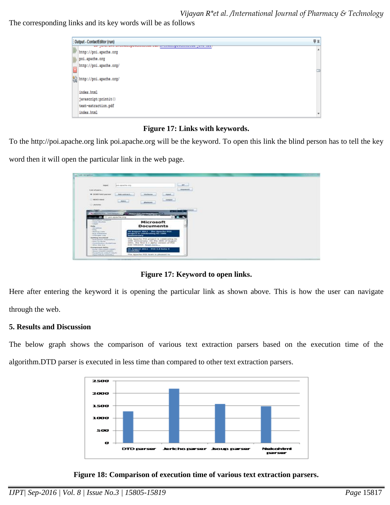*Vijayan R\*et al. /International Journal of Pharmacy & Technology*  The corresponding links and its key words will be as follows

| : Output - ContactEditor (run)                                                             | 导算 |
|--------------------------------------------------------------------------------------------|----|
| we jura.ure.crosses.pursuament.com/arcore.pursuament.jura.cc<br>http://poi.apache.org      | A  |
| poi.apache.org                                                                             |    |
| http://poi.apache.org/                                                                     |    |
| $\left[\begin{smallmatrix} 0 & 0 \\ 0 & 0 \end{smallmatrix}\right]$ http://poi.apache.org/ |    |
| index.html                                                                                 |    |
| javascript:printit()                                                                       |    |
| text-extraction.pdf                                                                        |    |
| index.html                                                                                 |    |

### **Figure 17: Links with keywords.**

To the http://poi.apache.org link poi.apache.org will be the keyword. To open this link the blind person has to tell the key

word then it will open the particular link in the web page.

| ment<br>post agreement to be                                           |                                                                                       | ÷               |  |
|------------------------------------------------------------------------|---------------------------------------------------------------------------------------|-----------------|--|
| Sing of parts.                                                         |                                                                                       | Assessed        |  |
| IN GONFITAN parser<br>dark and card                                    | <b>Marketing</b><br><b>State of</b>                                                   |                 |  |
|                                                                        |                                                                                       |                 |  |
| C MERCI MAIN<br>dent.                                                  | -motorcy<br>distant.                                                                  |                 |  |
| C. Jersino                                                             |                                                                                       |                 |  |
|                                                                        |                                                                                       | <b>Africans</b> |  |
|                                                                        |                                                                                       |                 |  |
|                                                                        |                                                                                       | $-101 - 6$      |  |
|                                                                        | Commercial Continues in the master of the commercial control.                         |                 |  |
| O postpache.org<br><b>Black player account.</b>                        |                                                                                       | (2.11)          |  |
| Class Student<br><b><i><u>Somester</u></i></b>                         | Microsoft                                                                             |                 |  |
| <b>Market</b>                                                          | <b>Documents</b>                                                                      |                 |  |
| 1 Datriedines<br>PAGE.                                                 |                                                                                       |                 |  |
| · Manhoop Looks<br><b>Box Selecters</b>                                | 20 August 2011 - The Apache POL<br>project to conditionting the 1986.                 |                 |  |
| <b>CORANIANA</b> Lina<br><b>Satting Invalued</b>                       | <b>ARABUSINARY</b>                                                                    |                 |  |
| · Bulliversion Kessellery<br><b>House The Market</b>                   | The Apacha POI project is celebrating its<br>1046 arreversary. On the 28th of August. |                 |  |
| Collected Auction, Northernson,                                        | 2001, the first 0.1 alpha version of PDI                                              |                 |  |
| <b>Status: Mate Ave.</b><br>Georgianaet APTs                           | erge remaned, final mire                                                              |                 |  |
| Fillmoad Californial and in the bank<br>Catalog Constitution Committee | 26 August 2011 / POE 3.0 bots #<br><b>Wy admitted</b>                                 |                 |  |

**Figure 17: Keyword to open links.**

Here after entering the keyword it is opening the particular link as shown above. This is how the user can navigate through the web.

#### **5. Results and Discussion**

The below graph shows the comparison of various text extraction parsers based on the execution time of the algorithm.DTD parser is executed in less time than compared to other text extraction parsers.



**Figure 18: Comparison of execution time of various text extraction parsers.**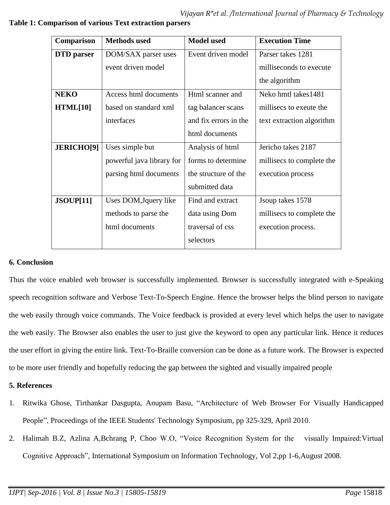| Comparison        | <b>Methods</b> used       | <b>Model used</b>     | <b>Execution Time</b>     |
|-------------------|---------------------------|-----------------------|---------------------------|
| <b>DTD</b> parser | DOM/SAX parser uses       | Event driven model    | Parser takes 1281         |
|                   | event driven model        |                       | milliseconds to execute   |
|                   |                           |                       | the algorithm             |
| <b>NEKO</b>       | Access html documents     | Html scanner and      | Neko hmtl takes1481       |
| HTML[10]          | based on standard xml     | tag balancer scans    | millisecs to exeute the   |
|                   | interfaces                | and fix errors in the | text extraction algorithm |
|                   |                           | html documents        |                           |
| <b>JERICHO[9]</b> | Uses simple but           | Analysis of html      | Jericho takes 2187        |
|                   | powerful java library for | forms to determine    | millisecs to complete the |
|                   | parsing html documents    | the structure of the  | execution process         |
|                   |                           | submitted data        |                           |
| JSOUP[11]         | Uses DOM, Jquery like     | Find and extract      | J soup takes 1578         |
|                   | methods to parse the      | data using Dom        | millisecs to complete the |
|                   | html documents            | traversal of css      | execution process.        |
|                   |                           | selectors             |                           |

### **Table 1: Comparison of various Text extraction parsers**

### **6. Conclusion**

Thus the voice enabled web browser is successfully implemented. Browser is successfully integrated with e-Speaking speech recognition software and Verbose Text-To-Speech Engine. Hence the browser helps the blind person to navigate the web easily through voice commands. The Voice feedback is provided at every level which helps the user to navigate the web easily. The Browser also enables the user to just give the keyword to open any particular link. Hence it reduces the user effort in giving the entire link. Text-To-Braille conversion can be done as a future work. The Browser is expected to be more user friendly and hopefully reducing the gap between the sighted and visually impaired people

## **5. References**

- 1. Ritwika Ghose, Tirthankar Dasgupta, Anupam Basu, "Architecture of Web Browser For Visually Handicapped People", Proceedings of the IEEE Students' Technology Symposium, pp 325-329, April 2010.
- 2. Halimah B.Z, Azlina A,Bchrang P, Choo W.O, "Voice Recognition System for the visually Impaired:Virtual Cognitive Approach", International Symposium on Information Technology, Vol 2,pp 1-6,August 2008.